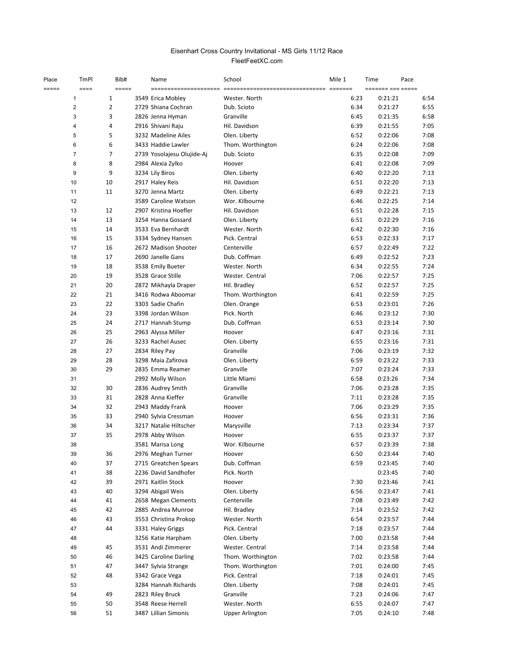## FleetFeetXC.com Eisenhart Cross Country Invitational - MS Girls 11/12 Race

| Place | TmPl           | Bib#           | Name                       | School                 | Mile 1 | Time<br>Pace     |      |
|-------|----------------|----------------|----------------------------|------------------------|--------|------------------|------|
| ===== | $===$          | =====          |                            |                        |        | ------- -------- |      |
|       | 1              | 1              | 3549 Erica Mobley          | Wester. North          | 6:23   | 0:21:21          | 6:54 |
|       | 2              | $\overline{2}$ | 2729 Shiana Cochran        | Dub. Scioto            | 6:34   | 0:21:27          | 6:55 |
|       | 3              | 3              | 2826 Jenna Hyman           | Granville              | 6:45   | 0:21:35          | 6:58 |
|       | 4              | 4              | 2916 Shivani Raju          | Hil. Davidson          | 6:39   | 0:21:55          | 7:05 |
|       | 5              | 5              | 3232 Madeline Ailes        | Olen. Liberty          | 6:52   | 0:22:06          | 7:08 |
|       | 6              | 6              | 3433 Haddie Lawler         | Thom. Worthington      | 6:24   | 0:22:06          | 7:08 |
|       | $\overline{7}$ | 7              | 2739 Yosolajesu Olujide-Aj | Dub. Scioto            | 6:35   | 0:22:08          | 7:09 |
|       | 8              | 8              | 2984 Alexia Zylko          | Hoover                 | 6:41   | 0:22:08          | 7:09 |
|       | 9              | 9              | 3234 Lily Biros            | Olen. Liberty          | 6:40   | 0:22:20          | 7:13 |
|       | 10             | 10             | 2917 Haley Reis            | Hil. Davidson          | 6:51   | 0:22:20          | 7:13 |
|       | 11             | 11             | 3270 Jenna Martz           | Olen. Liberty          | 6:49   | 0:22:21          | 7:13 |
|       | 12             |                | 3589 Caroline Watson       | Wor. Kilbourne         | 6:46   | 0:22:25          | 7:14 |
|       | 13             | 12             | 2907 Kristina Hoefler      | Hil. Davidson          | 6:51   | 0:22:28          | 7:15 |
|       | 14             | 13             | 3254 Hanna Gossard         | Olen. Liberty          | 6:51   | 0:22:29          | 7:16 |
|       | 15             | 14             | 3533 Eva Bernhardt         | Wester. North          | 6:42   | 0:22:30          | 7:16 |
|       | 16             | 15             | 3334 Sydney Hansen         | Pick. Central          | 6:53   | 0:22:33          | 7:17 |
|       | 17             | 16             | 2672 Madison Shooter       | Centerville            | 6:57   | 0:22:49          | 7:22 |
|       | 18             | 17             | 2690 Janelle Gans          | Dub. Coffman           | 6:49   | 0:22:52          | 7:23 |
|       | 19             | 18             | 3538 Emily Bueter          | Wester, North          | 6:34   | 0:22:55          | 7:24 |
|       | 20             | 19             | 3528 Grace Stille          | Wester. Central        | 7:06   | 0:22:57          | 7:25 |
|       | 21             | 20             | 2872 Mikhayla Draper       | Hil. Bradley           | 6:52   | 0:22:57          | 7:25 |
|       | 22             | 21             | 3416 Rodwa Aboomar         | Thom. Worthington      | 6:41   | 0:22:59          | 7:25 |
|       | 23             | 22             | 3303 Sadie Chafin          | Olen. Orange           | 6:53   | 0:23:01          | 7:26 |
|       | 24             | 23             | 3398 Jordan Wilson         | Pick. North            | 6:46   | 0:23:12          | 7:30 |
|       | 25             | 24             | 2717 Hannah Stump          | Dub. Coffman           | 6:53   | 0:23:14          | 7:30 |
|       | 26             | 25             | 2963 Alyssa Miller         | Hoover                 | 6:47   | 0:23:16          | 7:31 |
|       | 27             | 26             | 3233 Rachel Ausec          | Olen. Liberty          | 6:55   | 0:23:16          | 7:31 |
|       | 28             | 27             | 2834 Riley Pay             | Granville              | 7:06   | 0:23:19          | 7:32 |
|       | 29             | 28             | 3298 Maia Zafirova         | Olen. Liberty          | 6:59   | 0:23:22          | 7:33 |
|       | 30             | 29             | 2835 Emma Reamer           | Granville              | 7:07   | 0:23:24          | 7:33 |
|       | 31             |                | 2992 Molly Wilson          | Little Miami           | 6:58   | 0:23:26          | 7:34 |
|       | 32             | 30             | 2836 Audrey Smith          | Granville              | 7:06   | 0:23:28          | 7:35 |
|       | 33             | 31             | 2828 Anna Kieffer          | Granville              | 7:11   | 0:23:28          | 7:35 |
|       | 34             | 32             | 2943 Maddy Frank           | Hoover                 | 7:06   | 0:23:29          | 7:35 |
|       | 35             | 33             | 2940 Sylvia Cressman       | Hoover                 | 6:56   | 0:23:31          | 7:36 |
|       | 36             | 34             | 3217 Natalie Hiltscher     | Marysville             | 7:13   | 0:23:34          | 7:37 |
|       | 37             | 35             | 2978 Abby Wilson           | Hoover                 | 6:55   | 0:23:37          | 7:37 |
|       | 38             |                | 3581 Marisa Long           | Wor. Kilbourne         | 6:57   | 0:23:39          | 7:38 |
|       | 39             | 36             | 2976 Meghan Turner         | Hoover                 | 6:50   | 0:23:44          | 7:40 |
|       | 40             | 37             | 2715 Greatchen Spears      | Dub. Coffman           | 6:59   | 0:23:45          | 7:40 |
|       | 41             | 38             | 2236 David Sandhofer       | Pick. North            |        | 0:23:45          | 7:40 |
|       | 42             | 39             | 2971 Kaitlin Stock         | Hoover                 | 7:30   | 0:23:46          | 7:41 |
|       | 43             | 40             | 3294 Abigail Weis          | Olen. Liberty          | 6:56   | 0:23:47          | 7:41 |
|       | 44             | 41             | 2658 Megan Clements        | Centerville            | 7:08   | 0:23:49          | 7:42 |
|       | 45             | 42             | 2885 Andrea Munroe         | Hil. Bradley           | 7:14   | 0:23:52          | 7:42 |
|       | 46             | 43             | 3553 Christina Prokop      | Wester. North          | 6:54   | 0:23:57          | 7:44 |
|       | 47             | 44             | 3331 Haley Griggs          | Pick. Central          | 7:18   | 0:23:57          | 7:44 |
|       | 48             |                | 3256 Katie Harpham         | Olen. Liberty          | 7:00   | 0:23:58          | 7:44 |
|       | 49             | 45             | 3531 Andi Zimmerer         | Wester. Central        | 7:14   | 0:23:58          | 7:44 |
|       | 50             | 46             | 3425 Caroline Darling      | Thom. Worthington      | 7:02   | 0:23:58          | 7:44 |
|       | 51             | 47             | 3447 Sylvia Strange        | Thom. Worthington      | 7:01   | 0:24:00          | 7:45 |
|       | 52             | 48             | 3342 Grace Vega            | Pick. Central          | 7:18   | 0:24:01          | 7:45 |
|       | 53             |                | 3284 Hannah Richards       | Olen. Liberty          | 7:08   | 0:24:01          | 7:45 |
|       | 54             | 49             | 2823 Riley Bruck           | Granville              | 7:23   | 0:24:06          | 7:47 |
|       | 55             | 50             | 3548 Reese Herrell         | Wester. North          | 6:55   | 0:24:07          | 7:47 |
|       | 56             | 51             | 3487 Lillian Simonis       | <b>Upper Arlington</b> | 7:05   | 0:24:10          | 7:48 |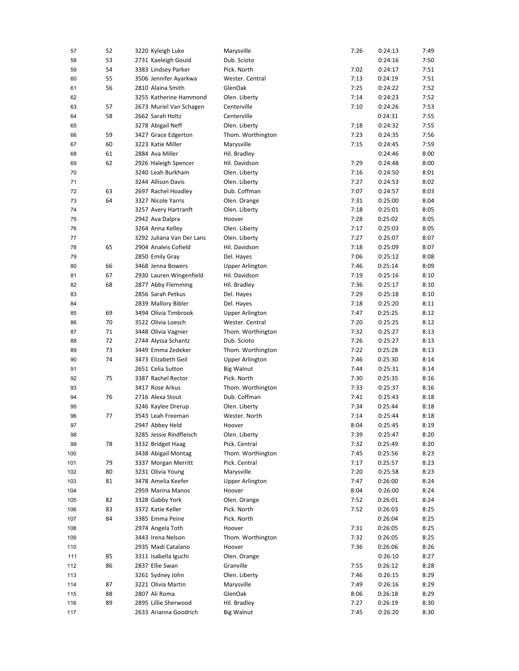| 57  | 52 | 3220 Kyleigh Luke         | Marysville             | 7:26 | 0:24:13 | 7:49 |
|-----|----|---------------------------|------------------------|------|---------|------|
| 58  | 53 | 2731 Kaeleigh Gould       | Dub. Scioto            |      | 0:24:16 | 7:50 |
| 59  | 54 | 3383 Lindsey Parker       | Pick. North            | 7:02 | 0:24:17 | 7:51 |
| 60  | 55 | 3506 Jennifer Ayarkwa     | Wester. Central        | 7:13 | 0:24:19 | 7:51 |
| 61  | 56 | 2810 Alaina Smith         | GlenOak                | 7:25 | 0:24:22 | 7:52 |
| 62  |    | 3255 Katherine Hammond    | Olen. Liberty          | 7:14 | 0:24:23 | 7:52 |
| 63  | 57 | 2673 Muriel Van Schagen   | Centerville            | 7:10 | 0:24:26 | 7:53 |
| 64  | 58 | 2662 Sarah Holtz          | Centerville            |      | 0:24:31 | 7:55 |
| 65  |    | 3278 Abigail Neff         | Olen. Liberty          | 7:18 | 0:24:32 | 7:55 |
| 66  | 59 | 3427 Grace Edgerton       | Thom. Worthington      | 7:23 | 0:24:35 | 7:56 |
| 67  | 60 | 3223 Katie Miller         | Marysville             | 7:15 | 0:24:45 | 7:59 |
| 68  | 61 | 2884 Ava Miller           | Hil. Bradley           |      | 0:24:46 | 8:00 |
| 69  | 62 | 2926 Haleigh Spencer      | Hil. Davidson          | 7:29 | 0:24:48 | 8:00 |
| 70  |    | 3240 Leah Burkham         | Olen. Liberty          | 7:16 | 0:24:50 | 8:01 |
| 71  |    | 3244 Allison Davis        | Olen. Liberty          | 7:27 | 0:24:53 | 8:02 |
| 72  | 63 | 2697 Rachel Hoadley       | Dub. Coffman           | 7:07 | 0:24:57 | 8:03 |
| 73  | 64 | 3327 Nicole Yarris        | Olen. Orange           | 7:31 | 0:25:00 | 8:04 |
| 74  |    | 3257 Avery Hartranft      | Olen. Liberty          | 7:18 | 0:25:01 | 8:05 |
| 75  |    | 2942 Ava Dalpra           | Hoover                 | 7:28 | 0:25:02 | 8:05 |
| 76  |    | 3264 Anna Kelley          | Olen. Liberty          | 7:17 | 0:25:03 | 8:05 |
| 77  |    | 3292 Juliana Van Der Lans | Olen. Liberty          | 7:27 | 0:25:07 | 8:07 |
| 78  | 65 | 2904 Analeis Cofield      | Hil. Davidson          | 7:18 | 0:25:09 | 8:07 |
| 79  |    | 2850 Emily Gray           | Del. Hayes             | 7:06 | 0:25:12 | 8:08 |
| 80  | 66 | 3468 Jenna Bowers         | <b>Upper Arlington</b> | 7:46 | 0:25:14 | 8:09 |
| 81  | 67 | 2930 Lauren Wingenfield   | Hil. Davidson          | 7:19 | 0:25:16 | 8:10 |
| 82  | 68 | 2877 Abby Flemming        | Hil. Bradley           | 7:36 | 0:25:17 | 8:10 |
| 83  |    | 2856 Sarah Petkus         | Del. Hayes             | 7:29 | 0:25:18 | 8:10 |
| 84  |    | 2839 Mallory Bibler       | Del. Hayes             | 7:18 | 0:25:20 | 8:11 |
| 85  | 69 | 3494 Olivia Timbrook      | <b>Upper Arlington</b> | 7:47 | 0:25:25 | 8:12 |
| 86  | 70 | 3522 Olivia Loesch        | Wester. Central        | 7:20 | 0:25:25 | 8:12 |
| 87  | 71 | 3448 Olivia Vagnier       | Thom. Worthington      | 7:32 | 0:25:27 | 8:13 |
| 88  | 72 | 2744 Alyssa Schantz       | Dub. Scioto            | 7:26 | 0:25:27 | 8:13 |
| 89  | 73 | 3449 Emma Zedeker         | Thom. Worthington      | 7:22 | 0:25:28 | 8:13 |
| 90  | 74 | 3473 Elizabeth Geil       | <b>Upper Arlington</b> | 7:46 | 0:25:30 | 8:14 |
| 91  |    | 2651 Celia Sutton         | <b>Big Walnut</b>      | 7:44 | 0:25:31 | 8:14 |
| 92  | 75 | 3387 Rachel Rector        | Pick. North            | 7:30 | 0:25:35 | 8:16 |
| 93  |    | 3417 Rose Arkus           | Thom. Worthington      | 7:33 | 0:25:37 | 8:16 |
| 94  | 76 | 2716 Alexa Stout          | Dub. Coffman           | 7:41 | 0:25:43 | 8:18 |
| 95  |    | 3246 Kaylee Drerup        | Olen. Liberty          | 7:34 | 0:25:44 | 8:18 |
| 96  | 77 | 3543 Leah Freeman         | Wester. North          | 7:14 | 0:25:44 | 8:18 |
| 97  |    | 2947 Abbey Held           | Hoover                 | 8:04 | 0:25:45 | 8:19 |
| 98  |    | 3285 Jessie Rindfleisch   | Olen. Liberty          | 7:39 | 0:25:47 | 8:20 |
| 99  | 78 | 3332 Bridget Haag         | Pick. Central          | 7:32 | 0:25:49 | 8:20 |
| 100 |    | 3438 Abigail Montag       | Thom. Worthington      | 7:45 | 0:25:56 | 8:23 |
| 101 | 79 | 3337 Morgan Merritt       | Pick. Central          | 7:17 | 0:25:57 | 8:23 |
| 102 | 80 | 3231 Olivia Young         | Marysville             | 7:20 | 0:25:58 | 8:23 |
| 103 | 81 | 3478 Amelia Keefer        | <b>Upper Arlington</b> | 7:47 | 0:26:00 | 8:24 |
| 104 |    | 2959 Marina Manos         | Hoover                 | 8:04 | 0:26:00 | 8:24 |
| 105 | 82 | 3328 Gabby York           | Olen. Orange           | 7:52 | 0:26:01 | 8:24 |
| 106 | 83 | 3372 Katie Keller         | Pick. North            | 7:52 | 0:26:03 | 8:25 |
| 107 | 84 | 3385 Emma Peine           | Pick. North            |      | 0:26:04 | 8:25 |
| 108 |    | 2974 Angela Toth          | Hoover                 | 7:31 | 0:26:05 | 8:25 |
| 109 |    | 3443 Irena Nelson         | Thom. Worthington      | 7:32 | 0:26:05 | 8:25 |
| 110 |    | 2935 Madi Catalano        | Hoover                 | 7:36 | 0:26:06 | 8:26 |
| 111 | 85 | 3311 Isabella Iguchi      | Olen. Orange           |      | 0:26:10 | 8:27 |
| 112 | 86 | 2837 Ellie Swan           | Granville              | 7:55 | 0:26:12 | 8:28 |
| 113 |    | 3261 Sydney John          | Olen. Liberty          | 7:46 | 0:26:15 | 8:29 |
| 114 | 87 | 3221 Olivia Martin        | Marysville             | 7:49 | 0:26:16 | 8:29 |
| 115 | 88 | 2807 Ali Roma             | GlenOak                | 8:06 | 0:26:18 | 8:29 |
| 116 | 89 | 2895 Lillie Sherwood      | Hil. Bradley           | 7:27 | 0:26:19 | 8:30 |
| 117 |    | 2633 Arianna Goodrich     | <b>Big Walnut</b>      | 7:45 | 0:26:20 | 8:30 |
|     |    |                           |                        |      |         |      |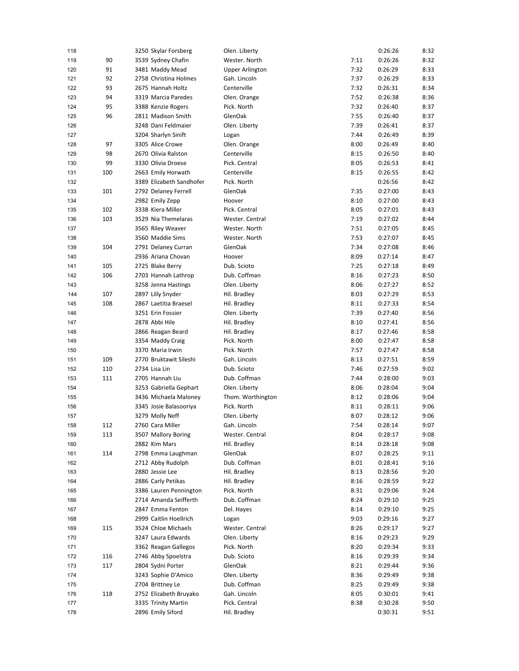| 118 |     | 3250 Skylar Forsberg     | Olen. Liberty          |      | 0:26:26 | 8:32 |
|-----|-----|--------------------------|------------------------|------|---------|------|
| 119 | 90  | 3539 Sydney Chafin       | Wester. North          | 7:11 | 0:26:26 | 8:32 |
| 120 | 91  | 3481 Maddy Mead          | <b>Upper Arlington</b> | 7:32 | 0:26:29 | 8:33 |
| 121 | 92  | 2758 Christina Holmes    | Gah. Lincoln           | 7:37 | 0:26:29 | 8:33 |
| 122 | 93  | 2675 Hannah Holtz        | Centerville            | 7:32 | 0:26:31 | 8:34 |
| 123 | 94  | 3319 Marcia Paredes      | Olen. Orange           | 7:52 | 0:26:38 | 8:36 |
| 124 | 95  | 3388 Kenzie Rogers       | Pick. North            | 7:32 | 0:26:40 | 8:37 |
| 125 | 96  | 2811 Madison Smith       | GlenOak                | 7:55 | 0:26:40 | 8:37 |
| 126 |     | 3248 Dani Feldmaier      | Olen. Liberty          | 7:39 | 0:26:41 | 8:37 |
| 127 |     | 3204 Sharlyn Sinift      | Logan                  | 7:44 | 0:26:49 | 8:39 |
| 128 | 97  | 3305 Alice Crowe         | Olen. Orange           | 8:00 | 0:26:49 | 8:40 |
| 129 | 98  | 2670 Olivia Ralston      | Centerville            | 8:15 | 0:26:50 | 8:40 |
| 130 | 99  | 3330 Olivia Droese       | Pick. Central          | 8:05 | 0:26:53 | 8:41 |
| 131 | 100 | 2663 Emily Horwath       | Centerville            | 8:15 | 0:26:55 | 8:42 |
| 132 |     | 3389 Elizabeth Sandhofer | Pick. North            |      | 0:26:56 | 8:42 |
| 133 | 101 | 2792 Delaney Ferrell     | GlenOak                | 7:35 | 0:27:00 | 8:43 |
| 134 |     | 2982 Emily Zepp          | Hoover                 | 8:10 | 0:27:00 | 8:43 |
| 135 | 102 | 3338 Kiera Miller        | Pick. Central          | 8:05 | 0:27:01 | 8:43 |
| 136 | 103 | 3529 Nia Themelaras      | Wester. Central        | 7:19 | 0:27:02 | 8:44 |
| 137 |     | 3565 Riley Weaver        | Wester. North          | 7:51 | 0:27:05 | 8:45 |
| 138 |     | 3560 Maddie Sims         | Wester. North          | 7:53 | 0:27:07 | 8:45 |
| 139 | 104 | 2791 Delaney Curran      | GlenOak                | 7:34 | 0:27:08 | 8:46 |
| 140 |     | 2936 Ariana Chovan       | Hoover                 | 8:09 | 0:27:14 | 8:47 |
| 141 | 105 | 2725 Blake Berry         | Dub. Scioto            | 7:25 | 0:27:18 | 8:49 |
| 142 | 106 | 2703 Hannah Lathrop      | Dub. Coffman           | 8:16 | 0:27:23 | 8:50 |
| 143 |     | 3258 Jenna Hastings      | Olen. Liberty          | 8:06 | 0:27:27 | 8:52 |
| 144 | 107 | 2897 Lilly Snyder        | Hil. Bradley           | 8:03 | 0:27:29 | 8:53 |
| 145 | 108 | 2867 Laetitia Braesel    | Hil. Bradley           | 8:11 | 0:27:33 | 8:54 |
| 146 |     | 3251 Erin Fossier        | Olen. Liberty          | 7:39 | 0:27:40 | 8:56 |
| 147 |     | 2878 Abbi Hile           | Hil. Bradley           | 8:10 | 0:27:41 | 8:56 |
| 148 |     | 2866 Reagan Beard        | Hil. Bradley           | 8:17 | 0:27:46 | 8:58 |
| 149 |     | 3354 Maddy Craig         | Pick. North            | 8:00 | 0:27:47 | 8:58 |
| 150 |     | 3370 Maria Irwin         | Pick. North            | 7:57 | 0:27:47 | 8:58 |
| 151 | 109 | 2770 Bruktawit Sileshi   | Gah. Lincoln           | 8:13 | 0:27:51 | 8:59 |
| 152 | 110 | 2734 Lisa Lin            | Dub. Scioto            | 7:46 | 0:27:59 | 9:02 |
| 153 | 111 | 2705 Hannah Liu          | Dub. Coffman           | 7:44 | 0:28:00 | 9:03 |
| 154 |     | 3253 Gabriella Gephart   | Olen. Liberty          | 8:06 | 0:28:04 | 9:04 |
| 155 |     | 3436 Michaela Maloney    | Thom. Worthington      | 8:12 | 0:28:06 | 9:04 |
| 156 |     | 3345 Josie Balasooriya   | Pick. North            | 8:11 | 0:28:11 | 9:06 |
| 157 |     | 3279 Molly Neff          | Olen. Liberty          | 8:07 | 0:28:12 | 9:06 |
| 158 | 112 | 2760 Cara Miller         | Gah. Lincoln           | 7:54 | 0:28:14 | 9:07 |
| 159 | 113 | 3507 Mallory Boring      | Wester. Central        | 8:04 | 0:28:17 | 9:08 |
| 160 |     | 2882 Kim Mars            | Hil. Bradley           | 8:14 | 0:28:18 | 9:08 |
| 161 | 114 | 2798 Emma Laughman       | GlenOak                | 8:07 | 0:28:25 | 9:11 |
| 162 |     | 2712 Abby Rudolph        | Dub. Coffman           | 8:01 | 0:28:41 | 9:16 |
| 163 |     | 2880 Jessie Lee          | Hil. Bradley           | 8:13 | 0:28:56 | 9:20 |
| 164 |     | 2886 Carly Petikas       | Hil. Bradley           | 8:16 | 0:28:59 | 9:22 |
| 165 |     | 3386 Lauren Pennington   | Pick. North            | 8:31 | 0:29:06 | 9:24 |
| 166 |     | 2714 Amanda Seifferth    | Dub. Coffman           | 8:24 | 0:29:10 | 9:25 |
| 167 |     | 2847 Emma Fenton         | Del. Hayes             | 8:14 | 0:29:10 | 9:25 |
| 168 |     | 2999 Caitlin Hoellrich   | Logan                  | 9:03 | 0:29:16 | 9:27 |
| 169 | 115 | 3524 Chloe Michaels      | Wester. Central        | 8:26 | 0:29:17 | 9:27 |
| 170 |     | 3247 Laura Edwards       | Olen. Liberty          | 8:16 | 0:29:23 | 9:29 |
| 171 |     | 3362 Reagan Gallegos     | Pick. North            | 8:20 | 0:29:34 | 9:33 |
| 172 | 116 | 2746 Abby Spoelstra      | Dub. Scioto            | 8:16 | 0:29:39 | 9:34 |
| 173 | 117 | 2804 Sydni Porter        | GlenOak                | 8:21 | 0:29:44 | 9:36 |
| 174 |     | 3243 Sophie D'Amico      | Olen. Liberty          | 8:36 | 0:29:49 | 9:38 |
| 175 |     | 2704 Brittney Le         | Dub. Coffman           | 8:25 | 0:29:49 | 9:38 |
| 176 | 118 | 2752 Elizabeth Bruyako   | Gah. Lincoln           | 8:05 | 0:30:01 | 9:41 |
| 177 |     | 3335 Trinity Martin      | Pick. Central          | 8:38 | 0:30:28 | 9:50 |
| 178 |     | 2896 Emily Siford        | Hil. Bradley           |      | 0:30:31 | 9:51 |
|     |     |                          |                        |      |         |      |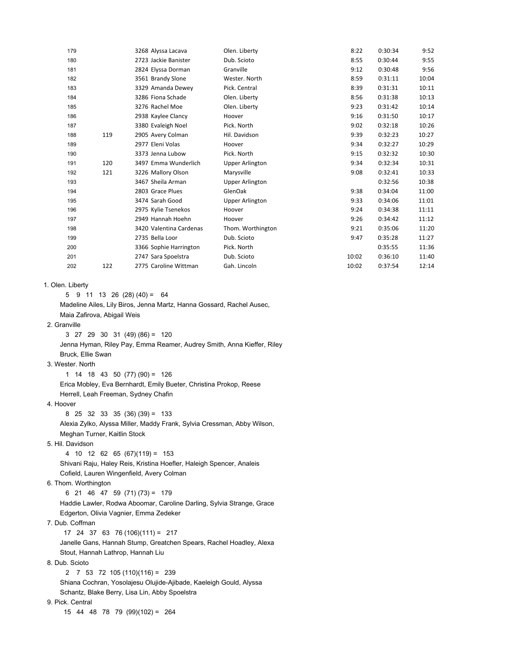| 179         |     | 3268 Alyssa Lacava      | Olen. Liberty          | 8:22  | 0:30:34 | 9:52  |
|-------------|-----|-------------------------|------------------------|-------|---------|-------|
| 180         |     | 2723 Jackie Banister    | Dub. Scioto            | 8:55  | 0:30:44 | 9:55  |
| 181         |     | 2824 Elyssa Dorman      | Granville              | 9:12  | 0:30:48 | 9:56  |
| 182         |     | 3561 Brandy Slone       | Wester, North          | 8:59  | 0:31:11 | 10:04 |
| 183         |     | 3329 Amanda Dewey       | Pick. Central          | 8:39  | 0:31:31 | 10:11 |
| 184         |     | 3286 Fiona Schade       | Olen. Liberty          | 8:56  | 0:31:38 | 10:13 |
| 185         |     | 3276 Rachel Moe         | Olen. Liberty          | 9:23  | 0:31:42 | 10:14 |
| 186         |     | 2938 Kaylee Clancy      | Hoover                 | 9:16  | 0:31:50 | 10:17 |
| 187         |     | 3380 Evaleigh Noel      | Pick. North            | 9:02  | 0:32:18 | 10:26 |
| 188         | 119 | 2905 Avery Colman       | Hil. Davidson          | 9:39  | 0:32:23 | 10:27 |
| 189         |     | 2977 Eleni Volas        | Hoover                 | 9:34  | 0:32:27 | 10:29 |
| 190         |     | 3373 Jenna Lubow        | Pick. North            | 9:15  | 0:32:32 | 10:30 |
| 191         | 120 | 3497 Emma Wunderlich    | <b>Upper Arlington</b> | 9:34  | 0:32:34 | 10:31 |
| 192         | 121 | 3226 Mallory Olson      | Marysville             | 9:08  | 0:32:41 | 10:33 |
| 193         |     | 3467 Sheila Arman       | Upper Arlington        |       | 0:32:56 | 10:38 |
| 194         |     | 2803 Grace Plues        | GlenOak                | 9:38  | 0:34:04 | 11:00 |
| 195         |     | 3474 Sarah Good         | <b>Upper Arlington</b> | 9:33  | 0:34:06 | 11:01 |
| 196         |     | 2975 Kylie Tsenekos     | Hoover                 | 9:24  | 0:34:38 | 11:11 |
| 197         |     | 2949 Hannah Hoehn       | Hoover                 | 9:26  | 0:34:42 | 11:12 |
| 198         |     | 3420 Valentina Cardenas | Thom. Worthington      | 9:21  | 0:35:06 | 11:20 |
| 199         |     | 2735 Bella Loor         | Dub. Scioto            | 9:47  | 0:35:28 | 11:27 |
| 200         |     | 3366 Sophie Harrington  | Pick. North            |       | 0:35:55 | 11:36 |
| 201         |     | 2747 Sara Spoelstra     | Dub. Scioto            | 10:02 | 0:36:10 | 11:40 |
| 202         | 122 | 2775 Caroline Wittman   | Gah. Lincoln           | 10:02 | 0:37:54 | 12:14 |
| ın I ihertv |     |                         |                        |       |         |       |

1. Olen

5  $9$  11 13 26 (28) (40) = 64

 Madeline Ailes, Lily Biros, Jenna Martz, Hanna Gossard, Rachel Ausec, Maia Zafirova, Abigail Weis

2. Granville

 3 27 29 30 31 (49) (86) = 120 Jenna Hyman, Riley Pay, Emma Reamer, Audrey Smith, Anna Kieffer, Riley Bruck, Ellie Swan

3. Wester. North

 1 14 18 43 50 (77) (90) = 126 Erica Mobley, Eva Bernhardt, Emily Bueter, Christina Prokop, Reese Herrell, Leah Freeman, Sydney Chafin

4. Hoover

 8 25 32 33 35 (36) (39) = 133 Alexia Zylko, Alyssa Miller, Maddy Frank, Sylvia Cressman, Abby Wilson, Meghan Turner, Kaitlin Stock

5. Hil. Davidson

 4 10 12 62 65 (67)(119) = 153 Shivani Raju, Haley Reis, Kristina Hoefler, Haleigh Spencer, Analeis Cofield, Lauren Wingenfield, Avery Colman

6. Thom. Worthington

6 21 46 47 59 (71) (73) = 179

 Haddie Lawler, Rodwa Aboomar, Caroline Darling, Sylvia Strange, Grace Edgerton, Olivia Vagnier, Emma Zedeker

7. Dub. Coffman

17 24 37 63 76 (106)(111) = 217

 Janelle Gans, Hannah Stump, Greatchen Spears, Rachel Hoadley, Alexa Stout, Hannah Lathrop, Hannah Liu

8. Dub. Scioto

 2 7 53 72 105 (110)(116) = 239 Shiana Cochran, Yosolajesu Olujide-Ajibade, Kaeleigh Gould, Alyssa Schantz, Blake Berry, Lisa Lin, Abby Spoelstra

9. Pick. Central

15 44 48 78 79 (99)(102) = 264